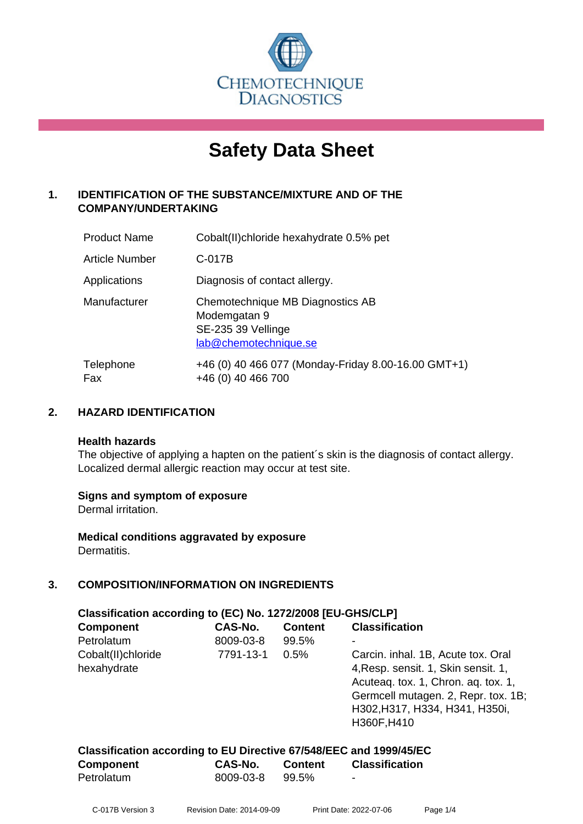

# **Safety Data Sheet**

#### **1. IDENTIFICATION OF THE SUBSTANCE/MIXTURE AND OF THE COMPANY/UNDERTAKING**

| <b>Product Name</b> | Cobalt(II) chloride hexahydrate 0.5% pet                                                        |
|---------------------|-------------------------------------------------------------------------------------------------|
| Article Number      | C-017B                                                                                          |
| Applications        | Diagnosis of contact allergy.                                                                   |
| Manufacturer        | Chemotechnique MB Diagnostics AB<br>Modemgatan 9<br>SE-235 39 Vellinge<br>lab@chemotechnique.se |
| Telephone<br>Fax    | +46 (0) 40 466 077 (Monday-Friday 8.00-16.00 GMT+1)<br>+46 (0) 40 466 700                       |

#### **2. HAZARD IDENTIFICATION**

#### **Health hazards**

The objective of applying a hapten on the patient's skin is the diagnosis of contact allergy. Localized dermal allergic reaction may occur at test site.

#### **Signs and symptom of exposure**

Dermal irritation.

**Medical conditions aggravated by exposure** Dermatitis.

#### **3. COMPOSITION/INFORMATION ON INGREDIENTS**

| Classification according to (EC) No. 1272/2008 [EU-GHS/CLP] |           |                |                                                                                                                                                                                           |  |  |
|-------------------------------------------------------------|-----------|----------------|-------------------------------------------------------------------------------------------------------------------------------------------------------------------------------------------|--|--|
| <b>Component</b>                                            | CAS-No.   | <b>Content</b> | <b>Classification</b>                                                                                                                                                                     |  |  |
| Petrolatum                                                  | 8009-03-8 | 99.5%          |                                                                                                                                                                                           |  |  |
| Cobalt(II)chloride<br>hexahydrate                           | 7791-13-1 | 0.5%           | Carcin. inhal. 1B, Acute tox. Oral<br>4, Resp. sensit. 1, Skin sensit. 1,<br>Acuteag. tox. 1, Chron. ag. tox. 1,<br>Germcell mutagen. 2, Repr. tox. 1B;<br>H302, H317, H334, H341, H350i, |  |  |
|                                                             |           |                | H360F, H410                                                                                                                                                                               |  |  |

| Classification according to EU Directive 67/548/EEC and 1999/45/EC |           |         |                       |
|--------------------------------------------------------------------|-----------|---------|-----------------------|
| <b>Component</b>                                                   | CAS-No.   | Content | <b>Classification</b> |
| Petrolatum                                                         | 8009-03-8 | 99.5%   | -                     |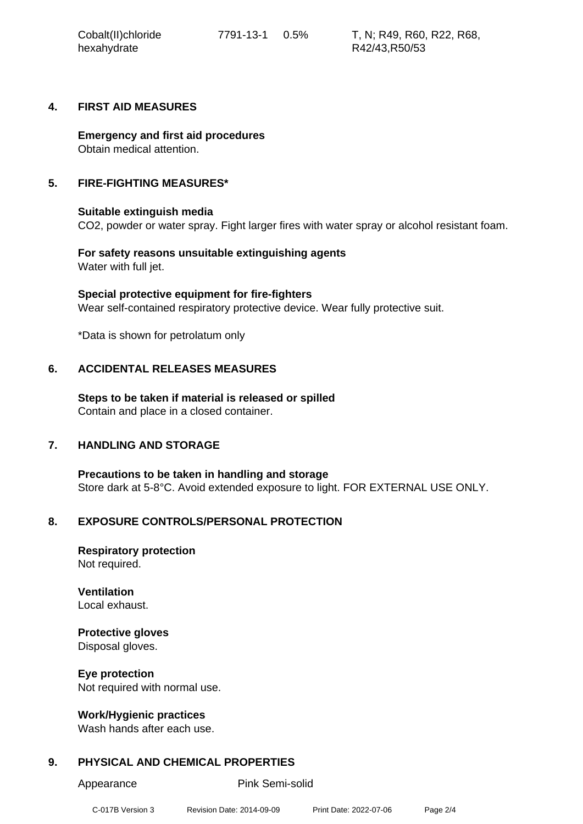#### **4. FIRST AID MEASURES**

**Emergency and first aid procedures** Obtain medical attention.

#### **5. FIRE-FIGHTING MEASURES\***

#### **Suitable extinguish media**

CO2, powder or water spray. Fight larger fires with water spray or alcohol resistant foam.

**For safety reasons unsuitable extinguishing agents** Water with full jet.

**Special protective equipment for fire-fighters** Wear self-contained respiratory protective device. Wear fully protective suit.

\*Data is shown for petrolatum only

#### **6. ACCIDENTAL RELEASES MEASURES**

**Steps to be taken if material is released or spilled** Contain and place in a closed container.

#### **7. HANDLING AND STORAGE**

**Precautions to be taken in handling and storage** Store dark at 5-8°C. Avoid extended exposure to light. FOR EXTERNAL USE ONLY.

#### **8. EXPOSURE CONTROLS/PERSONAL PROTECTION**

**Respiratory protection** Not required.

**Ventilation** Local exhaust.

## **Protective gloves**

Disposal gloves.

**Eye protection** Not required with normal use.

#### **Work/Hygienic practices**

Wash hands after each use.

#### **9. PHYSICAL AND CHEMICAL PROPERTIES**

Appearance Pink Semi-solid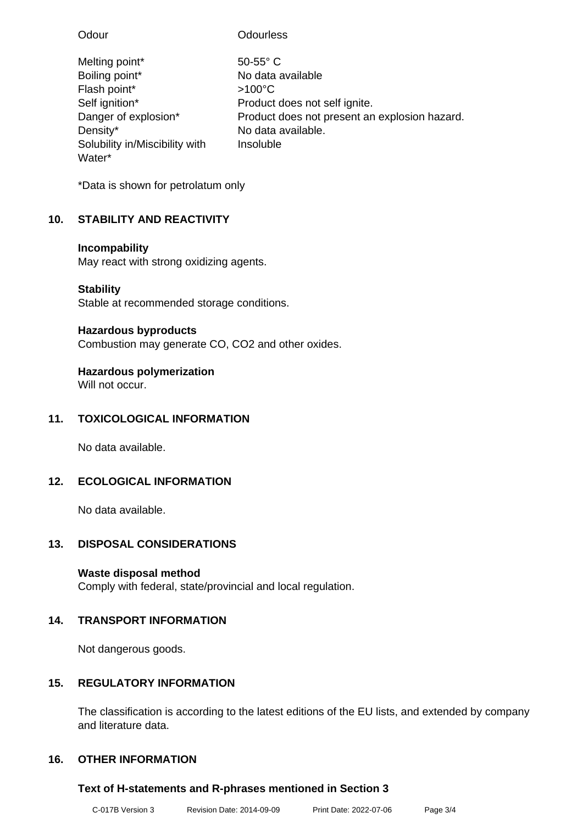| Odour                          | <b>Odourless</b>                              |
|--------------------------------|-----------------------------------------------|
| Melting point*                 | $50-55$ °C                                    |
| Boiling point*                 | No data available                             |
| Flash point*                   | $>100^{\circ}$ C                              |
| Self ignition*                 | Product does not self ignite.                 |
| Danger of explosion*           | Product does not present an explosion hazard. |
| Density*                       | No data available.                            |
| Solubility in/Miscibility with | Insoluble                                     |
| Water*                         |                                               |

\*Data is shown for petrolatum only

### **10. STABILITY AND REACTIVITY**

### **Incompability**

May react with strong oxidizing agents.

### **Stability**

Stable at recommended storage conditions.

### **Hazardous byproducts**

Combustion may generate CO, CO2 and other oxides.

### **Hazardous polymerization**

Will not occur.

### **11. TOXICOLOGICAL INFORMATION**

No data available.

### **12. ECOLOGICAL INFORMATION**

No data available.

### **13. DISPOSAL CONSIDERATIONS**

### **Waste disposal method**

Comply with federal, state/provincial and local regulation.

### **14. TRANSPORT INFORMATION**

Not dangerous goods.

### **15. REGULATORY INFORMATION**

The classification is according to the latest editions of the EU lists, and extended by company and literature data.

### **16. OTHER INFORMATION**

### **Text of H-statements and R-phrases mentioned in Section 3**